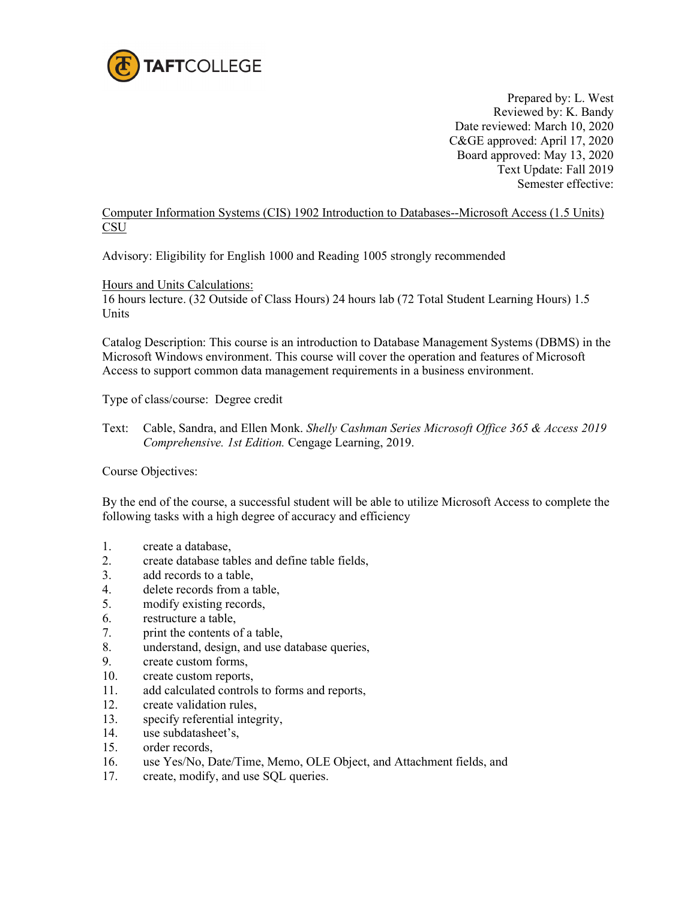

Prepared by: L. West Reviewed by: K. Bandy Date reviewed: March 10, 2020 C&GE approved: April 17, 2020 Board approved: May 13, 2020 Text Update: Fall 2019 Semester effective:

## Computer Information Systems (CIS) 1902 Introduction to Databases--Microsoft Access (1.5 Units) **CSU**

Advisory: Eligibility for English 1000 and Reading 1005 strongly recommended

Hours and Units Calculations:

16 hours lecture. (32 Outside of Class Hours) 24 hours lab (72 Total Student Learning Hours) 1.5 Units

Catalog Description: This course is an introduction to Database Management Systems (DBMS) in the Microsoft Windows environment. This course will cover the operation and features of Microsoft Access to support common data management requirements in a business environment.

Type of class/course: Degree credit

Text: Cable, Sandra, and Ellen Monk. *Shelly Cashman Series Microsoft Office 365 & Access 2019 Comprehensive. 1st Edition.* Cengage Learning, 2019.

Course Objectives:

By the end of the course, a successful student will be able to utilize Microsoft Access to complete the following tasks with a high degree of accuracy and efficiency

- 1. create a database,
- 2. create database tables and define table fields,
- 3. add records to a table,
- 4. delete records from a table,
- 5. modify existing records,
- 6. restructure a table,
- 7. print the contents of a table,
- 8. understand, design, and use database queries,
- 9. create custom forms,
- 10. create custom reports,
- 11. add calculated controls to forms and reports,
- 12. create validation rules,
- 13. specify referential integrity,
- 14. use subdatasheet's,
- 15. order records,
- 16. use Yes/No, Date/Time, Memo, OLE Object, and Attachment fields, and
- 17. create, modify, and use SQL queries.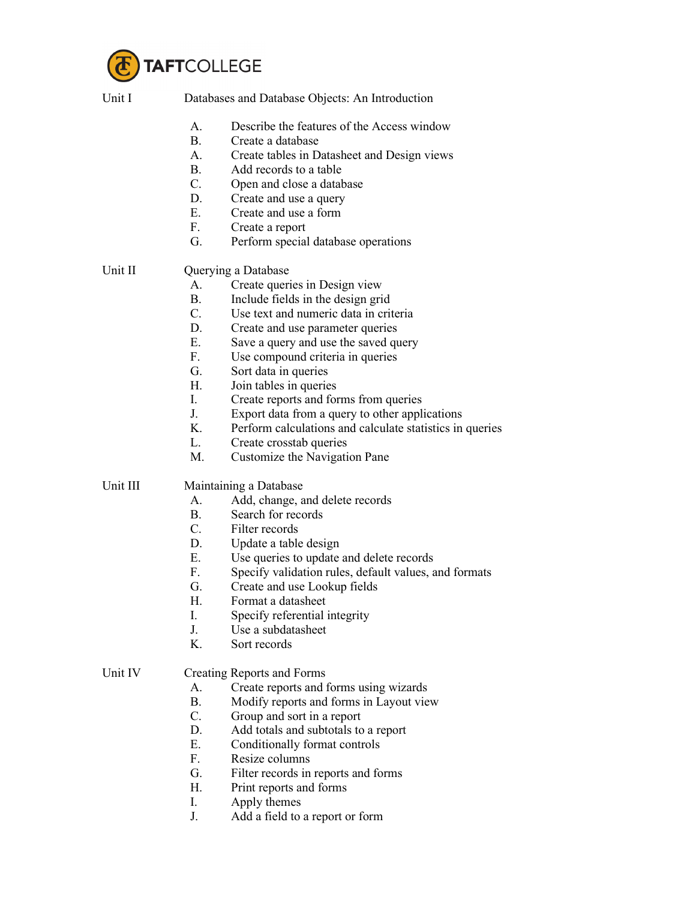

| Unit I   | Databases and Database Objects: An Introduction |                                                          |  |
|----------|-------------------------------------------------|----------------------------------------------------------|--|
|          | А.                                              | Describe the features of the Access window               |  |
|          | <b>B.</b>                                       | Create a database                                        |  |
|          | А.                                              | Create tables in Datasheet and Design views              |  |
|          | <b>B.</b>                                       | Add records to a table                                   |  |
|          | $C_{\cdot}$                                     | Open and close a database                                |  |
|          | D.                                              | Create and use a query                                   |  |
|          | E.                                              | Create and use a form                                    |  |
|          | F.                                              | Create a report                                          |  |
|          | G.                                              | Perform special database operations                      |  |
| Unit II  | Querying a Database                             |                                                          |  |
|          | A.                                              | Create queries in Design view                            |  |
|          | <b>B.</b>                                       | Include fields in the design grid                        |  |
|          | $C_{\cdot}$                                     | Use text and numeric data in criteria                    |  |
|          | D.                                              | Create and use parameter queries                         |  |
|          | Ε.                                              | Save a query and use the saved query                     |  |
|          | F.                                              | Use compound criteria in queries                         |  |
|          | G.                                              | Sort data in queries                                     |  |
|          | Η.                                              | Join tables in queries                                   |  |
|          | L.                                              | Create reports and forms from queries                    |  |
|          | J.                                              | Export data from a query to other applications           |  |
|          | K.                                              | Perform calculations and calculate statistics in queries |  |
|          | L.                                              | Create crosstab queries                                  |  |
|          | M.                                              | Customize the Navigation Pane                            |  |
| Unit III | Maintaining a Database                          |                                                          |  |
|          | A.                                              | Add, change, and delete records                          |  |
|          | B.                                              | Search for records                                       |  |
|          | $C_{\cdot}$                                     | Filter records                                           |  |
|          | D.                                              | Update a table design                                    |  |
|          | E.                                              | Use queries to update and delete records                 |  |
|          | F.                                              | Specify validation rules, default values, and formats    |  |
|          | G.                                              | Create and use Lookup fields                             |  |
|          | Η.                                              | Format a datasheet                                       |  |
|          | I.                                              | Specify referential integrity                            |  |
|          | J.                                              | Use a subdatasheet                                       |  |
|          | K.                                              | Sort records                                             |  |
| Unit IV  | <b>Creating Reports and Forms</b>               |                                                          |  |
|          | А.                                              | Create reports and forms using wizards                   |  |
|          | B.                                              | Modify reports and forms in Layout view                  |  |
|          | $C_{\cdot}$                                     | Group and sort in a report                               |  |
|          | D.                                              | Add totals and subtotals to a report                     |  |
|          | Ε.                                              | Conditionally format controls                            |  |
|          | F.                                              | Resize columns                                           |  |
|          | G.                                              | Filter records in reports and forms                      |  |
|          | Η.                                              | Print reports and forms                                  |  |
|          | I.                                              | Apply themes                                             |  |
|          |                                                 |                                                          |  |

J. Add a field to a report or form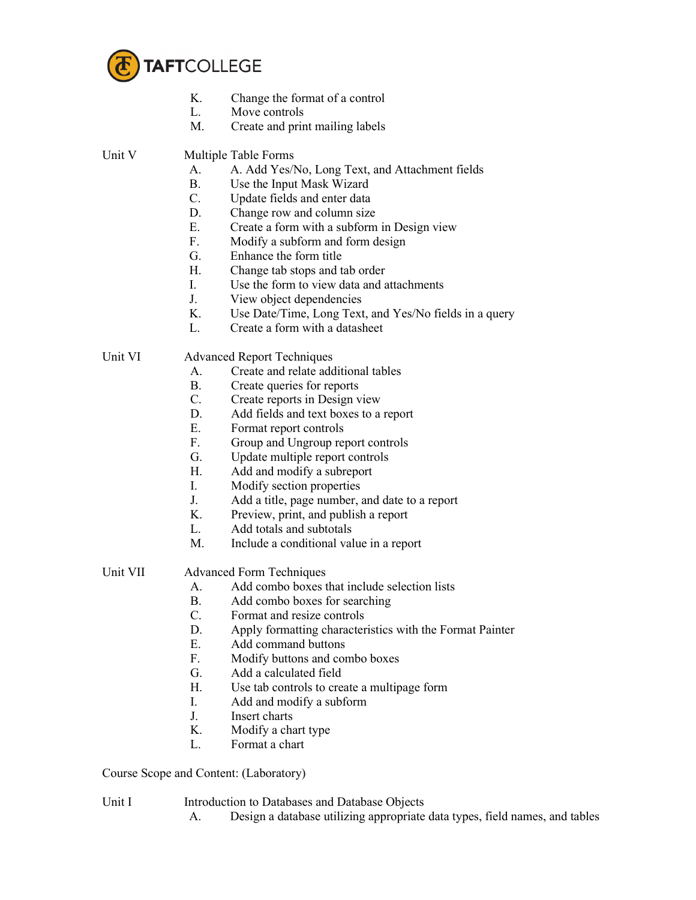

- K. Change the format of a control<br>L. Move controls
- Move controls
- M. Create and print mailing labels

Unit V Multiple Table Forms

- A. A. Add Yes/No, Long Text, and Attachment fields
- B. Use the Input Mask Wizard
- C. Update fields and enter data
- D. Change row and column size
- E. Create a form with a subform in Design view
- F. Modify a subform and form design
- G. Enhance the form title
- H. Change tab stops and tab order
- I. Use the form to view data and attachments
- J. View object dependencies
- K. Use Date/Time, Long Text, and Yes/No fields in a query
- L. Create a form with a datasheet

Unit VI Advanced Report Techniques

- A. Create and relate additional tables
- B. Create queries for reports
- C. Create reports in Design view
- D. Add fields and text boxes to a report
- E. Format report controls
- F. Group and Ungroup report controls
- G. Update multiple report controls
- H. Add and modify a subreport
- I. Modify section properties
- J. Add a title, page number, and date to a report
- K. Preview, print, and publish a report
- L. Add totals and subtotals
- M. Include a conditional value in a report

Unit VII Advanced Form Techniques

- A. Add combo boxes that include selection lists
- B. Add combo boxes for searching
- C. Format and resize controls
- D. Apply formatting characteristics with the Format Painter
- E. Add command buttons
- F. Modify buttons and combo boxes
- G. Add a calculated field
- H. Use tab controls to create a multipage form
- I. Add and modify a subform
- J. Insert charts
- K. Modify a chart type
- L. Format a chart

Course Scope and Content: (Laboratory)

## Unit I Introduction to Databases and Database Objects

A. Design a database utilizing appropriate data types, field names, and tables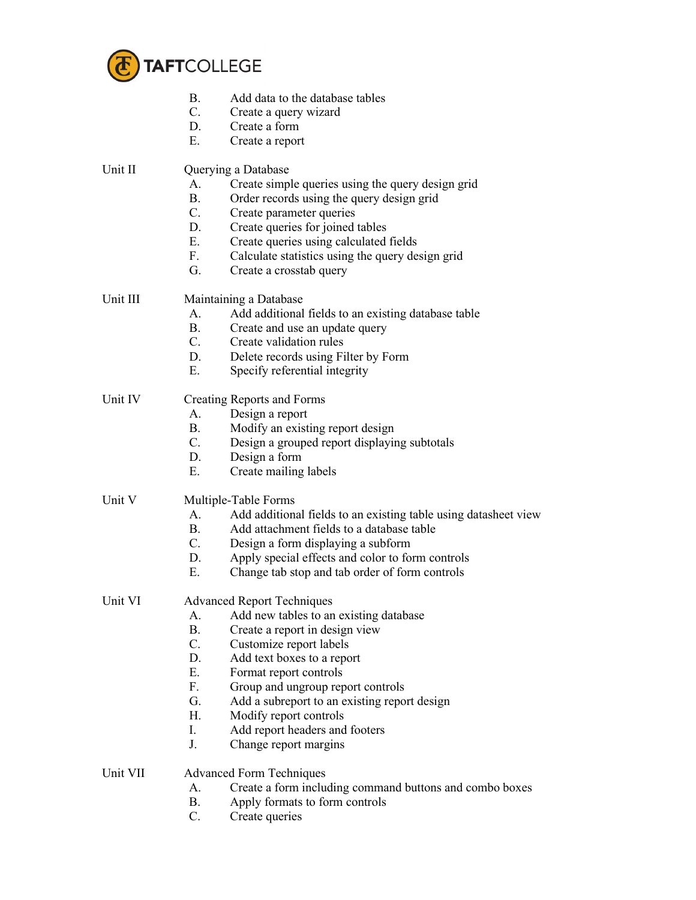

| B. | Add data to the database tables |
|----|---------------------------------|
|----|---------------------------------|

- C. Create a query wizard
- D. Create a form
- E. Create a report

Unit II Querying a Database

- A. Create simple queries using the query design grid
- B. Order records using the query design grid
- C. Create parameter queries
- D. Create queries for joined tables
- E. Create queries using calculated fields
- F. Calculate statistics using the query design grid
- G. Create a crosstab query

Unit III Maintaining a Database

- A. Add additional fields to an existing database table
- B. Create and use an update query
- C. Create validation rules
- D. Delete records using Filter by Form
- E. Specify referential integrity

Unit IV Creating Reports and Forms

- A. Design a report
- B. Modify an existing report design
- C. Design a grouped report displaying subtotals
- D. Design a form
- E. Create mailing labels

Unit V Multiple-Table Forms

- A. Add additional fields to an existing table using datasheet view
- B. Add attachment fields to a database table
- C. Design a form displaying a subform
- D. Apply special effects and color to form controls
- E. Change tab stop and tab order of form controls

Unit VI Advanced Report Techniques

- A. Add new tables to an existing database
- B. Create a report in design view
- C. Customize report labels
- D. Add text boxes to a report
- E. Format report controls
- F. Group and ungroup report controls
- G. Add a subreport to an existing report design
- H. Modify report controls
- I. Add report headers and footers
- J. Change report margins

## Unit VII Advanced Form Techniques

- A. Create a form including command buttons and combo boxes
- B. Apply formats to form controls
- C. Create queries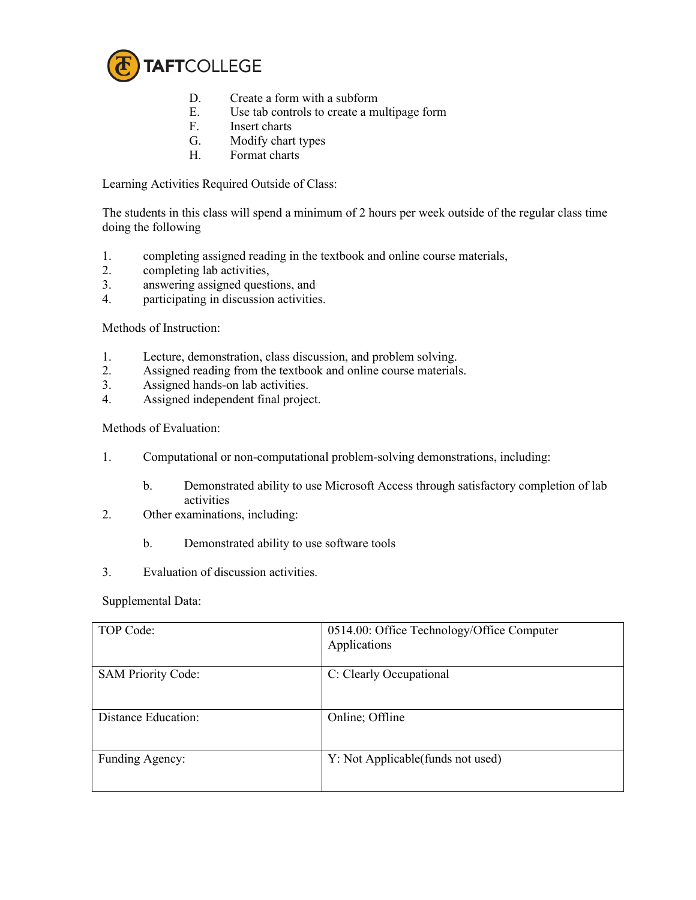

- D. Create a form with a subform<br>E. Use tab controls to create a mu
- E. Use tab controls to create a multipage form<br>F. Insert charts
- **Insert charts**
- G. Modify chart types
- H. Format charts

Learning Activities Required Outside of Class:

The students in this class will spend a minimum of 2 hours per week outside of the regular class time doing the following

- 1. completing assigned reading in the textbook and online course materials,<br>2. completing lab activities.
- completing lab activities,
- 3. answering assigned questions, and
- 4. participating in discussion activities.

Methods of Instruction:

- 1. Lecture, demonstration, class discussion, and problem solving.
- 2. Assigned reading from the textbook and online course materials.
- 3. Assigned hands-on lab activities.
- 4. Assigned independent final project.

Methods of Evaluation:

- 1. Computational or non-computational problem-solving demonstrations, including:
	- b. Demonstrated ability to use Microsoft Access through satisfactory completion of lab activities
- 2. Other examinations, including:
	- b. Demonstrated ability to use software tools
- 3. Evaluation of discussion activities.

Supplemental Data:

| TOP Code:                 | 0514.00: Office Technology/Office Computer<br>Applications |
|---------------------------|------------------------------------------------------------|
| <b>SAM Priority Code:</b> | C: Clearly Occupational                                    |
| Distance Education:       | Online; Offline                                            |
| Funding Agency:           | Y: Not Applicable (funds not used)                         |